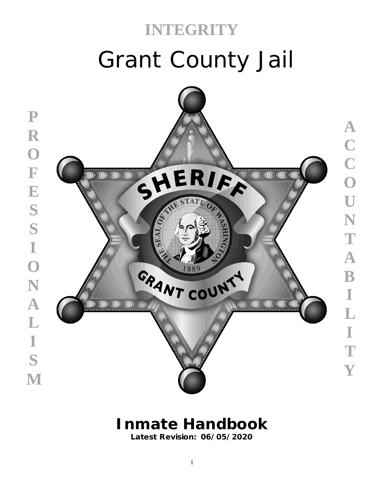# Grant County Jail **INTEGRITY**



**ACCOUNTABILITY**

 $\overline{\mathbf{A}}$ 

 $\mathbf{B}$ 

 $\mathbb I$ 

L

 $\mathbb I$ 

T

Y

T

N

 $\mathbf{A}$ 

CCCOU

# **Inmate Handbook**

**Latest Revision: 06/05/2020**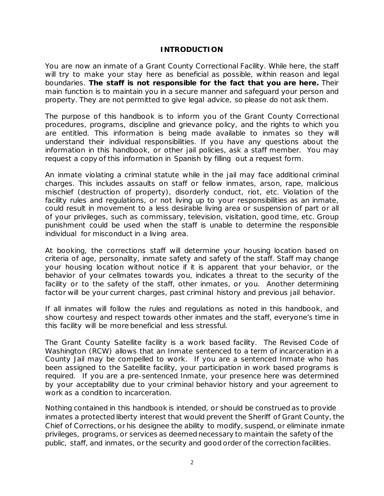#### **INTRODUCTION**

You are now an inmate of a Grant County Correctional Facility. While here, the staff will try to make your stay here as beneficial as possible, within reason and legal boundaries. **The staff is not responsible for the fact that you are here.** Their main function is to maintain you in a secure manner and safeguard your person and property. They are not permitted to give legal advice, so please do not ask them.

The purpose of this handbook is to inform you of the Grant County Correctional procedures, programs, discipline and grievance policy, and the rights to which you are entitled. This information is being made available to inmates so they will understand their individual responsibilities. If you have any questions about the information in this handbook, or other jail policies, ask a staff member. You may request a copy of this information in Spanish by filling out a request form.

An inmate violating a criminal statute while in the jail may face additional criminal charges. This includes assaults on staff or fellow inmates, arson, rape, malicious mischief (destruction of property), disorderly conduct, riot, etc. Violation of the facility rules and regulations, or not living up to your responsibilities as an inmate, could result in movement to a less desirable living area or suspension of part or all of your privileges, such as commissary, television, visitation, good time, etc. Group punishment could be used when the staff is unable to determine the responsible individual for misconduct in a living area.

At booking, the corrections staff will determine your housing location based on criteria of age, personality, inmate safety and safety of the staff. Staff may change your housing location without notice if it is apparent that your behavior, or the behavior of your cellmates towards you, indicates a threat to the security of the facility or to the safety of the staff, other inmates, or you. Another determining factor will be your current charges, past criminal history and previous jail behavior.

If all inmates will follow the rules and regulations as noted in this handbook, and show courtesy and respect towards other inmates and the staff, everyone's time in this facility will be more beneficial and less stressful.

The Grant County Satellite facility is a work based facility. The Revised Code of Washington (RCW) allows that an Inmate sentenced to a term of incarceration in a County Jail may be compelled to work. If you are a sentenced Inmate who has been assigned to the Satellite facility, your participation in work based programs is required. If you are a pre-sentenced Inmate, your presence here was determined by your acceptability due to your criminal behavior history and your agreement to work as a condition to incarceration.

Nothing contained in this handbook is intended, or should be construed as to provide inmates a protected liberty interest that would prevent the Sheriff of Grant County, the Chief of Corrections, or his designee the ability to modify, suspend, or eliminate inmate privileges, programs, or services as deemed necessary to maintain the safety of the public, staff, and inmates, or the security and good order of the correction facilities.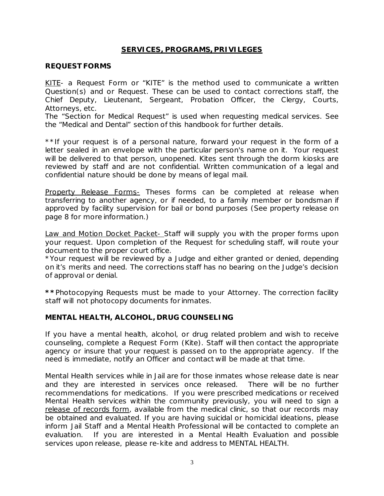# **SERVICES, PROGRAMS, PRIVILEGES**

#### **REQUEST FORMS**

KITE- a Request Form or "KITE" is the method used to communicate a written Question(s) and or Request. These can be used to contact corrections staff, the Chief Deputy, Lieutenant, Sergeant, Probation Officer, the Clergy, Courts, Attorneys, etc.

The "Section for Medical Request" is used when requesting medical services. See the "Medical and Dental" section of this handbook for further details.

\*\*If your request is of a personal nature, forward your request in the form of a letter sealed in an envelope with the particular person's name on it. Your request will be delivered to that person, unopened. Kites sent through the dorm kiosks are reviewed by staff and are not confidential. Written communication of a legal and confidential nature should be done by means of legal mail.

Property Release Forms- Theses forms can be completed at release when transferring to another agency, or if needed, to a family member or bondsman if approved by facility supervision for bail or bond purposes (See property release on page 8 for more information.)

Law and Motion Docket Packet- Staff will supply you with the proper forms upon your request. Upon completion of the Request for scheduling staff, will route your document to the proper court office.

\*Your request will be reviewed by a Judge and either granted or denied, depending on it's merits and need. The corrections staff has no bearing on the Judge's decision of approval or denial.

**\*\***Photocopying Requests must be made to your Attorney. The correction facility staff will not photocopy documents for inmates.

#### **MENTAL HEALTH, ALCOHOL, DRUG COUNSELING**

If you have a mental health, alcohol, or drug related problem and wish to receive counseling, complete a Request Form (Kite). Staff will then contact the appropriate agency or insure that your request is passed on to the appropriate agency. If the need is immediate, notify an Officer and contact will be made at that time.

Mental Health services while in Jail are for those inmates whose release date is near and they are interested in services once released. There will be no further recommendations for medications. If you were prescribed medications or received Mental Health services within the community previously, you will need to sign a release of records form, available from the medical clinic, so that our records may be obtained and evaluated. If you are having suicidal or homicidal ideations, please inform Jail Staff and a Mental Health Professional will be contacted to complete an evaluation. If you are interested in a Mental Health Evaluation and possible services upon release, please re-kite and address to MENTAL HEALTH.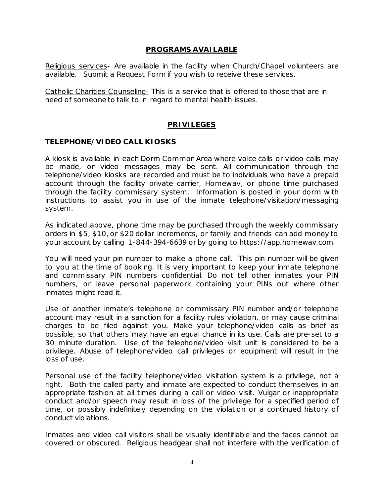#### **PROGRAMS AVAILABLE**

Religious services- Are available in the facility when Church/Chapel volunteers are available. Submit a Request Form if you wish to receive these services.

Catholic Charities Counseling- This is a service that is offered to those that are in need of someone to talk to in regard to mental health issues.

#### **PRIVILEGES**

#### **TELEPHONE/VIDEO CALL KIOSKS**

A kiosk is available in each Dorm Common Area where voice calls or video calls may be made, or video messages may be sent. All communication through the telephone/video kiosks are recorded and must be to individuals who have a prepaid account through the facility private carrier, Homewav, or phone time purchased through the facility commissary system. Information is posted in your dorm with instructions to assist you in use of the inmate telephone/visitation/messaging system.

As indicated above, phone time may be purchased through the weekly commissary orders in \$5, \$10, or \$20 dollar increments, or family and friends can add money to your account by calling 1-844-394-6639 or by going to https://app.homewav.com.

You will need your pin number to make a phone call. This pin number will be given to you at the time of booking. It is very important to keep your inmate telephone and commissary PIN numbers confidential. Do not tell other inmates your PIN numbers, or leave personal paperwork containing your PINs out where other inmates might read it.

Use of another inmate's telephone or commissary PIN number and/or telephone account may result in a sanction for a facility rules violation, or may cause criminal charges to be filed against you. Make your telephone/video calls as brief as possible, so that others may have an equal chance in its use. Calls are pre-set to a 30 minute duration. Use of the telephone/video visit unit is considered to be a privilege. Abuse of telephone/video call privileges or equipment will result in the loss of use.

Personal use of the facility telephone/video visitation system is a privilege, not a right. Both the called party and inmate are expected to conduct themselves in an appropriate fashion at all times during a call or video visit. Vulgar or inappropriate conduct and/or speech may result in loss of the privilege for a specified period of time, or possibly indefinitely depending on the violation or a continued history of conduct violations.

Inmates and video call visitors shall be visually identifiable and the faces cannot be covered or obscured. Religious headgear shall not interfere with the verification of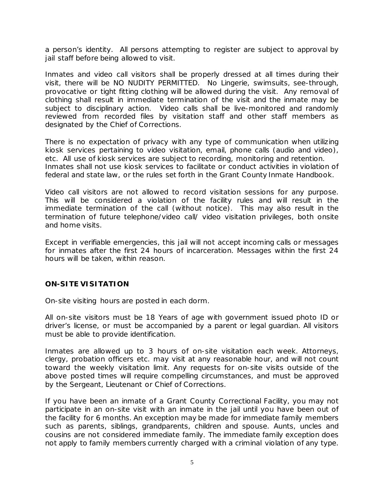a person's identity. All persons attempting to register are subject to approval by jail staff before being allowed to visit.

Inmates and video call visitors shall be properly dressed at all times during their visit, there will be NO NUDITY PERMITTED. No Lingerie, swimsuits, see-through, provocative or tight fitting clothing will be allowed during the visit. Any removal of clothing shall result in immediate termination of the visit and the inmate may be subject to disciplinary action. Video calls shall be live-monitored and randomly reviewed from recorded files by visitation staff and other staff members as designated by the Chief of Corrections.

There is no expectation of privacy with any type of communication when utilizing kiosk services pertaining to video visitation, email, phone calls (audio and video), etc. All use of kiosk services are subject to recording, monitoring and retention. Inmates shall not use kiosk services to facilitate or conduct activities in violation of federal and state law, or the rules set forth in the Grant County Inmate Handbook.

Video call visitors are not allowed to record visitation sessions for any purpose. This will be considered a violation of the facility rules and will result in the immediate termination of the call (without notice). This may also result in the termination of future telephone/video call/ video visitation privileges, both onsite and home visits.

Except in verifiable emergencies, this jail will not accept incoming calls or messages for inmates after the first 24 hours of incarceration. Messages within the first 24 hours will be taken, within reason.

#### **ON-SITE VISITATION**

On-site visiting hours are posted in each dorm.

All on-site visitors must be 18 Years of age with government issued photo ID or driver's license, or must be accompanied by a parent or legal guardian. All visitors must be able to provide identification.

Inmates are allowed up to 3 hours of on-site visitation each week. Attorneys, clergy, probation officers etc. may visit at any reasonable hour, and will not count toward the weekly visitation limit. Any requests for on-site visits outside of the above posted times will require compelling circumstances, and must be approved by the Sergeant, Lieutenant or Chief of Corrections.

If you have been an inmate of a Grant County Correctional Facility, you may not participate in an on-site visit with an inmate in the jail until you have been out of the facility for 6 months. An exception may be made for immediate family members such as parents, siblings, grandparents, children and spouse. Aunts, uncles and cousins are not considered immediate family. The immediate family exception does not apply to family members currently charged with a criminal violation of any type.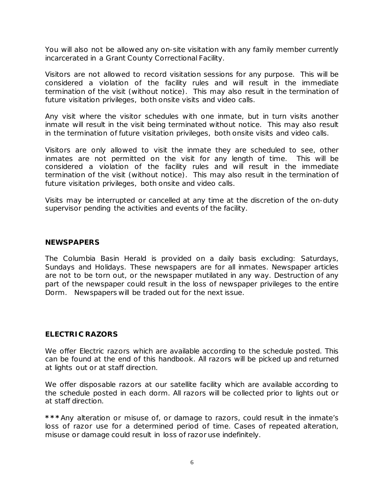You will also not be allowed any on-site visitation with any family member currently incarcerated in a Grant County Correctional Facility.

Visitors are not allowed to record visitation sessions for any purpose. This will be considered a violation of the facility rules and will result in the immediate termination of the visit (without notice). This may also result in the termination of future visitation privileges, both onsite visits and video calls.

Any visit where the visitor schedules with one inmate, but in turn visits another inmate will result in the visit being terminated without notice. This may also result in the termination of future visitation privileges, both onsite visits and video calls.

Visitors are only allowed to visit the inmate they are scheduled to see, other inmates are not permitted on the visit for any length of time. This will be considered a violation of the facility rules and will result in the immediate termination of the visit (without notice). This may also result in the termination of future visitation privileges, both onsite and video calls.

Visits may be interrupted or cancelled at any time at the discretion of the on-duty supervisor pending the activities and events of the facility.

#### **NEWSPAPERS**

The Columbia Basin Herald is provided on a daily basis excluding: Saturdays, Sundays and Holidays. These newspapers are for all inmates. Newspaper articles are not to be torn out, or the newspaper mutilated in any way. Destruction of any part of the newspaper could result in the loss of newspaper privileges to the entire Dorm. Newspapers will be traded out for the next issue.

#### **ELECTRIC RAZORS**

We offer Electric razors which are available according to the schedule posted. This can be found at the end of this handbook. All razors will be picked up and returned at lights out or at staff direction.

We offer disposable razors at our satellite facility which are available according to the schedule posted in each dorm. All razors will be collected prior to lights out or at staff direction.

**\*\*\***Any alteration or misuse of, or damage to razors, could result in the inmate's loss of razor use for a determined period of time. Cases of repeated alteration, misuse or damage could result in loss of razor use indefinitely.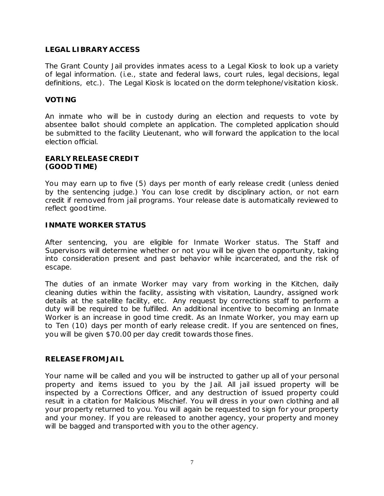# **LEGAL LIBRARY ACCESS**

The Grant County Jail provides inmates acess to a Legal Kiosk to look up a variety of legal information. (i.e., state and federal laws, court rules, legal decisions, legal definitions, etc.). The Legal Kiosk is located on the dorm telephone/visitation kiosk.

#### **VOTING**

An inmate who will be in custody during an election and requests to vote by absentee ballot should complete an application. The completed application should be submitted to the facility Lieutenant, who will forward the application to the local election official.

#### **EARLY RELEASE CREDIT (GOOD TIME)**

You may earn up to five (5) days per month of early release credit (unless denied by the sentencing judge.) You can lose credit by disciplinary action, or not earn credit if removed from jail programs. Your release date is automatically reviewed to reflect good time.

#### **INMATE WORKER STATUS**

After sentencing, you are eligible for Inmate Worker status. The Staff and Supervisors will determine whether or not you will be given the opportunity, taking into consideration present and past behavior while incarcerated, and the risk of escape.

The duties of an inmate Worker may vary from working in the Kitchen, daily cleaning duties within the facility, assisting with visitation, Laundry, assigned work details at the satellite facility, etc. Any request by corrections staff to perform a duty will be required to be fulfilled. An additional incentive to becoming an Inmate Worker is an increase in good time credit. As an Inmate Worker, you may earn up to Ten (10) days per month of early release credit. If you are sentenced on fines, you will be given \$70.00 per day credit towards those fines.

#### **RELEASE FROM JAIL**

Your name will be called and you will be instructed to gather up all of your personal property and items issued to you by the Jail. All jail issued property will be inspected by a Corrections Officer, and any destruction of issued property could result in a citation for Malicious Mischief. You will dress in your own clothing and all your property returned to you. You will again be requested to sign for your property and your money. If you are released to another agency, your property and money will be bagged and transported with you to the other agency.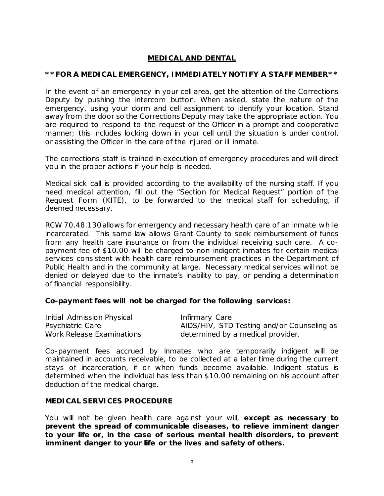# **MEDICAL AND DENTAL**

#### **\*\*FOR A MEDICAL EMERGENCY, IMMEDIATELY NOTIFY A STAFF MEMBER\*\***

In the event of an emergency in your cell area, get the attention of the Corrections Deputy by pushing the intercom button. When asked, state the nature of the emergency, using your dorm and cell assignment to identify your location. Stand away from the door so the Corrections Deputy may take the appropriate action. You are required to respond to the request of the Officer in a prompt and cooperative manner; this includes locking down in your cell until the situation is under control, or assisting the Officer in the care of the injured or ill inmate.

The corrections staff is trained in execution of emergency procedures and will direct you in the proper actions if your help is needed.

Medical sick call is provided according to the availability of the nursing staff. If you need medical attention, fill out the "Section for Medical Request" portion of the Request Form (KITE), to be forwarded to the medical staff for scheduling, if deemed necessary.

RCW 70.48.130 allows for emergency and necessary health care of an inmate while incarcerated. This same law allows Grant County to seek reimbursement of funds from any health care insurance or from the individual receiving such care. A copayment fee of \$10.00 will be charged to non-indigent inmates for certain medical services consistent with health care reimbursement practices in the Department of Public Health and in the community at large. Necessary medical services will not be denied or delayed due to the inmate's inability to pay, or pending a determination of financial responsibility.

#### **Co-payment fees will not be charged for the following services:**

| Initial Admission Physical | Infirmary Care                             |
|----------------------------|--------------------------------------------|
| Psychiatric Care           | AIDS/HIV, STD Testing and/or Counseling as |
| Work Release Examinations  | determined by a medical provider.          |

Co-payment fees accrued by inmates who are temporarily indigent will be maintained in accounts receivable, to be collected at a later time during the current stays of incarceration, if or when funds become available. Indigent status is determined when the individual has less than \$10.00 remaining on his account after deduction of the medical charge.

#### **MEDICAL SERVICES PROCEDURE**

You will not be given health care against your will, **except as necessary to prevent the spread of communicable diseases, to relieve imminent danger to your life or, in the case of serious mental health disorders, to prevent imminent danger to your life or the lives and safety of others.**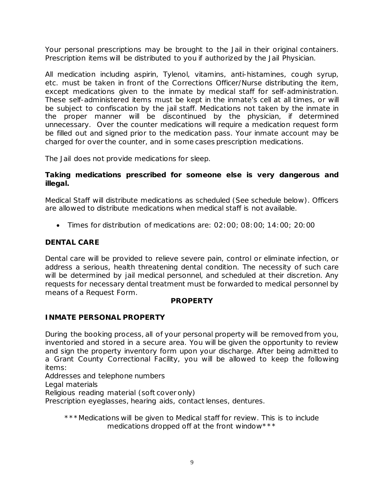Your personal prescriptions may be brought to the Jail in their original containers. Prescription items will be distributed to you if authorized by the Jail Physician.

All medication including aspirin, Tylenol, vitamins, anti-histamines, cough syrup, etc. must be taken in front of the Corrections Officer/Nurse distributing the item, except medications given to the inmate by medical staff for self-administration. These self-administered items must be kept in the inmate's cell at all times, or will be subject to confiscation by the jail staff. Medications not taken by the inmate in the proper manner will be discontinued by the physician, if determined unnecessary. Over the counter medications will require a medication request form be filled out and signed prior to the medication pass. Your inmate account may be charged for over the counter, and in some cases prescription medications.

The Jail does not provide medications for sleep.

#### **Taking medications prescribed for someone else is very dangerous and illegal.**

Medical Staff will distribute medications as scheduled (See schedule below). Officers are allowed to distribute medications when medical staff is not available.

• Times for distribution of medications are: 02:00; 08:00; 14:00; 20:00

# **DENTAL CARE**

Dental care will be provided to relieve severe pain, control or eliminate infection, or address a serious, health threatening dental condition. The necessity of such care will be determined by jail medical personnel, and scheduled at their discretion. Any requests for necessary dental treatment must be forwarded to medical personnel by means of a Request Form.

# **PROPERTY**

# **INMATE PERSONAL PROPERTY**

During the booking process, all of your personal property will be removed from you, inventoried and stored in a secure area. You will be given the opportunity to review and sign the property inventory form upon your discharge. After being admitted to a Grant County Correctional Facility, you will be allowed to keep the following items:

Addresses and telephone numbers

Legal materials

Religious reading material (soft cover only)

Prescription eyeglasses, hearing aids, contact lenses, dentures.

\*\*\*Medications will be given to Medical staff for review. This is to include medications dropped off at the front window \*\*\*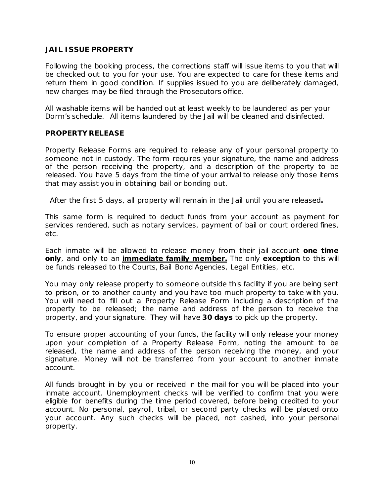#### **JAIL ISSUE PROPERTY**

Following the booking process, the corrections staff will issue items to you that will be checked out to you for your use. You are expected to care for these items and return them in good condition. If supplies issued to you are deliberately damaged, new charges may be filed through the Prosecutors office.

All washable items will be handed out at least weekly to be laundered as per your Dorm's schedule. All items laundered by the Jail will be cleaned and disinfected.

#### **PROPERTY RELEASE**

Property Release Forms are required to release any of your personal property to someone not in custody. The form requires your signature, the name and address of the person receiving the property, and a description of the property to be released. You have 5 days from the time of your arrival to release only those items that may assist you in obtaining bail or bonding out.

After the first 5 days, all property will remain in the Jail until you are released*.*

This same form is required to deduct funds from your account as payment for services rendered, such as notary services, payment of bail or court ordered fines, etc.

Each inmate will be allowed to release money from their jail account **one time only**, and only to an **immediate family member.** The only **exception** to this will be funds released to the Courts, Bail Bond Agencies, Legal Entities, etc.

You may only release property to someone outside this facility if you are being sent to prison, or to another county and you have too much property to take with you. You will need to fill out a Property Release Form including a description of the property to be released; the name and address of the person to receive the property, and your signature. They will have **30 days** to pick up the property.

To ensure proper accounting of your funds, the facility will only release your money upon your completion of a Property Release Form, noting the amount to be released, the name and address of the person receiving the money, and your signature. Money will not be transferred from your account to another inmate account.

All funds brought in by you or received in the mail for you will be placed into your inmate account. Unemployment checks will be verified to confirm that you were eligible for benefits during the time period covered, before being credited to your account. No personal, payroll, tribal, or second party checks will be placed onto your account. Any such checks will be placed, not cashed, into your personal property.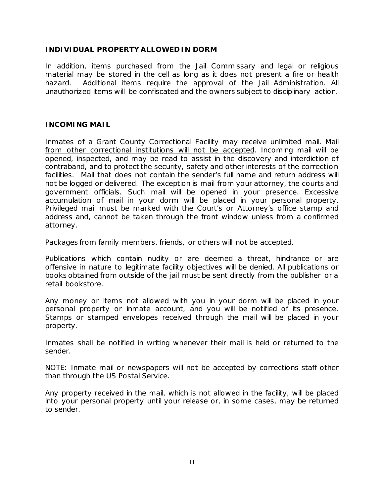#### **INDIVIDUAL PROPERTY ALLOWED IN DORM**

In addition, items purchased from the Jail Commissary and legal or religious material may be stored in the cell as long as it does not present a fire or health hazard. Additional items require the approval of the Jail Administration. All unauthorized items will be confiscated and the owners subject to disciplinary action.

#### **INCOMING MAIL**

Inmates of a Grant County Correctional Facility may receive unlimited mail. Mail from other correctional institutions will not be accepted. Incoming mail will be opened, inspected, and may be read to assist in the discovery and interdiction of contraband, and to protect the security, safety and other interests of the correction facilities. Mail that does not contain the sender's full name and return address will not be logged or delivered. The exception is mail from your attorney, the courts and government officials. Such mail will be opened in your presence. Excessive accumulation of mail in your dorm will be placed in your personal property. Privileged mail must be marked with the Court's or Attorney's office stamp and address and, cannot be taken through the front window unless from a confirmed attorney.

Packages from family members, friends, or others will not be accepted.

Publications which contain nudity or are deemed a threat, hindrance or are offensive in nature to legitimate facility objectives will be denied. All publications or books obtained from outside of the jail must be sent directly from the publisher or a retail bookstore.

Any money or items not allowed with you in your dorm will be placed in your personal property or inmate account, and you will be notified of its presence. Stamps or stamped envelopes received through the mail will be placed in your property.

Inmates shall be notified in writing whenever their mail is held or returned to the sender.

NOTE: Inmate mail or newspapers will not be accepted by corrections staff other than through the US Postal Service.

Any property received in the mail, which is not allowed in the facility, will be placed into your personal property until your release or, in some cases, may be returned to sender.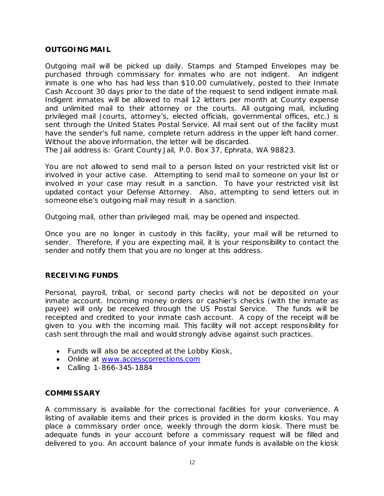#### **OUTGOING MAIL**

Outgoing mail will be picked up daily. Stamps and Stamped Envelopes may be purchased through commissary for inmates who are not indigent. An indigent inmate is one who has had less than \$10.00 cumulatively, posted to their Inmate Cash Account 30 days prior to the date of the request to send indigent inmate mail. Indigent inmates will be allowed to mail 12 letters per month at County expense and unlimited mail to their attorney or the courts. All outgoing mail, including privileged mail (courts, attorney's, elected officials, governmental offices, etc.) is sent through the United States Postal Service. All mail sent out of the facility must have the sender's full name, complete return address in the upper left hand corner. Without the above information, the letter will be discarded.

The Jail address is: Grant County Jail, P.0. Box 37, Ephrata, WA 98823.

You are not allowed to send mail to a person listed on your restricted visit list or involved in your active case. Attempting to send mail to someone on your list or involved in your case may result in a sanction. To have your restricted visit list updated contact your Defense Attorney. Also, attempting to send letters out in someone else's outgoing mail may result in a sanction.

Outgoing mail, other than privileged mail, may be opened and inspected.

Once you are no longer in custody in this facility, your mail will be returned to sender. Therefore, if you are expecting mail, it is your responsibility to contact the sender and notify them that you are no longer at this address.

#### **RECEIVING FUNDS**

Personal, payroll, tribal, or second party checks will not be deposited on your inmate account. Incoming money orders or cashier's checks (with the inmate as payee) will only be received through the US Postal Service. The funds will be receipted and credited to your inmate cash account. A copy of the receipt will be given to you with the incoming mail. This facility will not accept responsibility for cash sent through the mail and would strongly advise against such practices.

- Funds will also be accepted at the Lobby Kiosk,
- Online at [www.accesscorrections.com](http://www.accesscorrections.com/)
- Calling 1-866-345-1884

#### **COMMISSARY**

A commissary is available for the correctional facilities for your convenience. A listing of available items and their prices is provided in the dorm kiosks. You may place a commissary order once, weekly through the dorm kiosk. There must be adequate funds in your account before a commissary request will be filled and delivered to you. An account balance of your inmate funds is available on the kiosk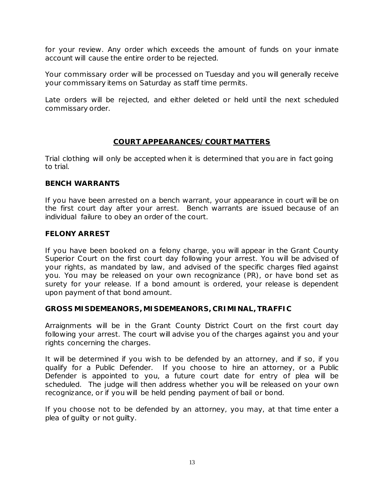for your review. Any order which exceeds the amount of funds on your inmate account will cause the entire order to be rejected.

Your commissary order will be processed on Tuesday and you will generally receive your commissary items on Saturday as staff time permits.

Late orders will be rejected, and either deleted or held until the next scheduled commissary order.

#### **COURT APPEARANCES/COURT MATTERS**

Trial clothing will only be accepted when it is determined that you are in fact going to trial.

#### **BENCH WARRANTS**

If you have been arrested on a bench warrant, your appearance in court will be on the first court day after your arrest. Bench warrants are issued because of an individual failure to obey an order of the court.

#### **FELONY ARREST**

If you have been booked on a felony charge, you will appear in the Grant County Superior Court on the first court day following your arrest. You will be advised of your rights, as mandated by law, and advised of the specific charges filed against you. You may be released on your own recognizance (PR), or have bond set as surety for your release. If a bond amount is ordered, your release is dependent upon payment of that bond amount.

#### **GROSS MISDEMEANORS, MISDEMEANORS, CRIMINAL, TRAFFIC**

Arraignments will be in the Grant County District Court on the first court day following your arrest. The court will advise you of the charges against you and your rights concerning the charges.

It will be determined if you wish to be defended by an attorney, and if so, if you qualify for a Public Defender. If you choose to hire an attorney, or a Public Defender is appointed to you, a future court date for entry of plea will be scheduled. The judge will then address whether you will be released on your own recognizance, or if you will be held pending payment of bail or bond.

If you choose not to be defended by an attorney, you may, at that time enter a plea of guilty or not guilty.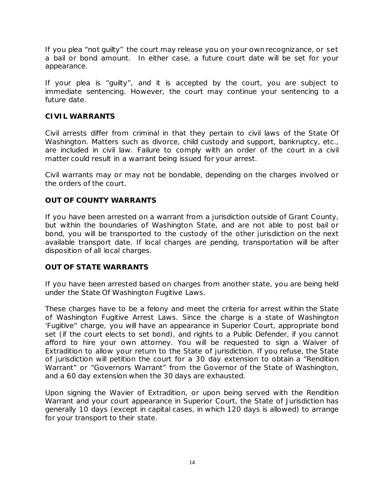If you plea "not guilty" the court may release you on your own recognizance, or set a bail or bond amount. In either case, a future court date will be set for your appearance.

If your plea is "guilty", and it is accepted by the court, you are subject to immediate sentencing. However, the court may continue your sentencing to a future date.

# **CIVIL WARRANTS**

Civil arrests differ from criminal in that they pertain to civil laws of the State Of Washington. Matters such as divorce, child custody and support, bankruptcy, etc., are included in civil law. Failure to comply with an order of the court in a civil matter could result in a warrant being issued for your arrest.

Civil warrants may or may not be bondable, depending on the charges involved or the orders of the court.

# **OUT OF COUNTY WARRANTS**

If you have been arrested on a warrant from a jurisdiction outside of Grant County, but within the boundaries of Washington State, and are not able to post bail or bond, you will be transported to the custody of the other jurisdiction on the next available transport date. If local charges are pending, transportation will be after disposition of all local charges.

# **OUT OF STATE WARRANTS**

If you have been arrested based on charges from another state, you are being held under the State Of Washington Fugitive Laws.

These charges have to be a felony and meet the criteria for arrest within the State of Washington Fugitive Arrest Laws. Since the charge is a state of Washington 'Fugitive" charge, you will have an appearance in Superior Court, appropriate bond set (if the court elects to set bond), and rights to a Public Defender, if you cannot afford to hire your own attorney. You will be requested to sign a Waiver of Extradition to allow your return to the State of jurisdiction. If you refuse, the State of jurisdiction will petition the court for a 30 day extension to obtain a "Rendition Warrant" or "Governors Warrant" from the Governor of the State of Washington, and a 60 day extension when the 30 days are exhausted.

Upon signing the Wavier of Extradition, or upon being served with the Rendition Warrant and your court appearance in Superior Court, the State of Jurisdiction has generally 10 days (except in capital cases, in which 120 days is allowed) to arrange for your transport to their state.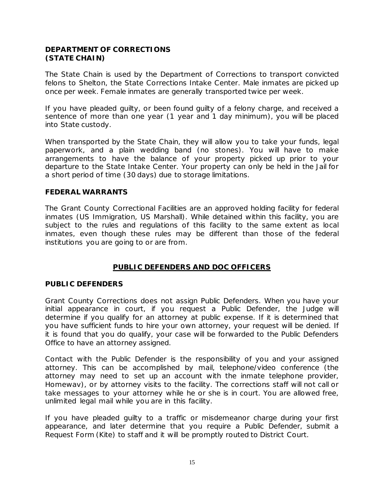# **DEPARTMENT OF CORRECTIONS (STATE CHAIN)**

The State Chain is used by the Department of Corrections to transport convicted felons to Shelton, the State Corrections Intake Center. Male inmates are picked up once per week. Female inmates are generally transported twice per week.

If you have pleaded guilty, or been found guilty of a felony charge, and received a sentence of more than one year (1 year and 1 day minimum), you will be placed into State custody.

When transported by the State Chain, they will allow you to take your funds, legal paperwork, and a plain wedding band (no stones). You will have to make arrangements to have the balance of your property picked up prior to your departure to the State Intake Center. Your property can only be held in the Jail for a short period of time (30 days) due to storage limitations.

#### **FEDERAL WARRANTS**

The Grant County Correctional Facilities are an approved holding facility for federal inmates (US Immigration, US Marshall). While detained within this facility, you are subject to the rules and regulations of this facility to the same extent as local inmates, even though these rules may be different than those of the federal institutions you are going to or are from.

#### **PUBLIC DEFENDERS AND DOC OFFICERS**

#### **PUBLIC DEFENDERS**

Grant County Corrections does not assign Public Defenders. When you have your initial appearance in court, if you request a Public Defender, the Judge will determine if you qualify for an attorney at public expense. If it is determined that you have sufficient funds to hire your own attorney, your request will be denied. If it is found that you do qualify, your case will be forwarded to the Public Defenders Office to have an attorney assigned.

Contact with the Public Defender is the responsibility of you and your assigned attorney. This can be accomplished by mail, telephone/video conference (the attorney may need to set up an account with the inmate telephone provider, Homewav), or by attorney visits to the facility. The corrections staff will not call or take messages to your attorney while he or she is in court. You are allowed free, unlimited legal mail while you are in this facility.

If you have pleaded guilty to a traffic or misdemeanor charge during your first appearance, and later determine that you require a Public Defender, submit a Request Form (Kite) to staff and it will be promptly routed to District Court.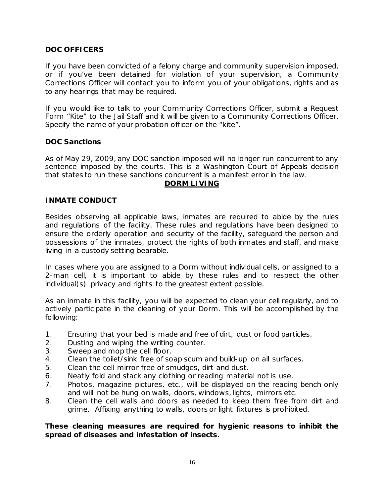# **DOC OFFICERS**

If you have been convicted of a felony charge and community supervision imposed, or if you've been detained for violation of your supervision, a Community Corrections Officer will contact you to inform you of your obligations, rights and as to any hearings that may be required.

If you would like to talk to your Community Corrections Officer, submit a Request Form "Kite" to the Jail Staff and it will be given to a Community Corrections Officer. Specify the name of your probation officer on the "kite".

#### **DOC Sanctions**

As of May 29, 2009, any DOC sanction imposed will no longer run concurrent to any sentence imposed by the courts. This is a Washington Court of Appeals decision that states to run these sanctions concurrent is a manifest error in the law.

#### **DORM LIVING**

#### **INMATE CONDUCT**

Besides observing all applicable laws, inmates are required to abide by the rules and regulations of the facility. These rules and regulations have been designed to ensure the orderly operation and security of the facility, safeguard the person and possessions of the inmates, protect the rights of both inmates and staff, and make living in a custody setting bearable.

In cases where you are assigned to a Dorm without individual cells, or assigned to a 2-man cell, it is important to abide by these rules and to respect the other individual(s) privacy and rights to the greatest extent possible.

As an inmate in this facility, you will be expected to clean your cell regularly, and to actively participate in the cleaning of your Dorm. This will be accomplished by the following:

- 1. Ensuring that your bed is made and free of dirt, dust or food particles.
- 2. Dusting and wiping the writing counter.
- 3. Sweep and mop the cell floor.
- 4. Clean the toilet/sink free of soap scum and build-up on all surfaces.
- 5. Clean the cell mirror free of smudges, dirt and dust.
- 6. Neatly fold and stack any clothing or reading material not is use.
- 7. Photos, magazine pictures, etc., will be displayed on the reading bench only and will not be hung on walls, doors, windows, lights, mirrors etc.
- 8. Clean the cell walls and doors as needed to keep them free from dirt and grime. Affixing anything to walls, doors or light fixtures is prohibited.

#### **These cleaning measures are required for hygienic reasons to inhibit the spread of diseases and infestation of insects.**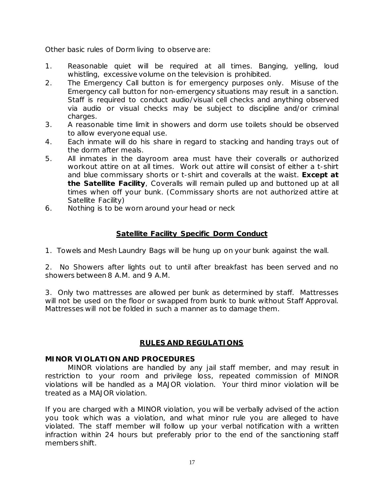Other basic rules of Dorm living to observe are:

- 1. Reasonable quiet will be required at all times. Banging, yelling, loud whistling, excessive volume on the television is prohibited.
- 2. The Emergency Call button is for emergency purposes only. Misuse of the Emergency call button for non-emergency situations may result in a sanction. Staff is required to conduct audio/visual cell checks and anything observed via audio or visual checks may be subject to discipline and/or criminal charges.
- 3. A reasonable time limit in showers and dorm use toilets should be observed to allow everyone equal use.
- 4. Each inmate will do his share in regard to stacking and handing trays out of the dorm after meals.
- 5. All inmates in the dayroom area must have their coveralls or authorized workout attire on at all times. Work out attire will consist of either a t-shirt and blue commissary shorts or t-shirt and coveralls at the waist. **Except at the Satellite Facility**, Coveralls will remain pulled up and buttoned up at all times when off your bunk. (Commissary shorts are not authorized attire at Satellite Facility)
- 6. Nothing is to be worn around your head or neck

#### **Satellite Facility Specific Dorm Conduct**

1. Towels and Mesh Laundry Bags will be hung up on your bunk against the wall.

2. No Showers after lights out to until after breakfast has been served and no showers between 8 A.M. and 9 A.M.

3. Only two mattresses are allowed per bunk as determined by staff. Mattresses will not be used on the floor or swapped from bunk to bunk without Staff Approval. Mattresses will not be folded in such a manner as to damage them.

#### **RULES AND REGULATIONS**

#### **MINOR VIOLATION AND PROCEDURES**

MINOR violations are handled by any jail staff member, and may result in restriction to your room and privilege loss, repeated commission of MINOR violations will be handled as a MAJOR violation. Your third minor violation will be treated as a MAJOR violation.

If you are charged with a MINOR violation, you will be verbally advised of the action you took which was a violation, and what minor rule you are alleged to have violated. The staff member will follow up your verbal notification with a written infraction within 24 hours but preferably prior to the end of the sanctioning staff members shift.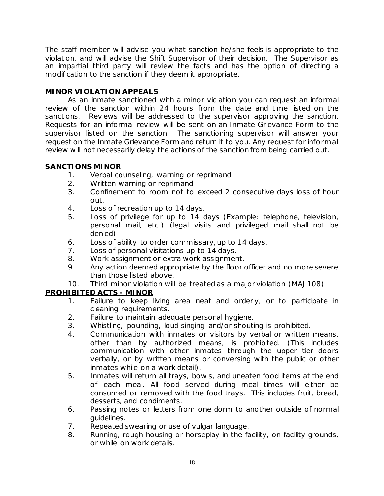The staff member will advise you what sanction he/she feels is appropriate to the violation, and will advise the Shift Supervisor of their decision. The Supervisor as an impartial third party will review the facts and has the option of directing a modification to the sanction if they deem it appropriate.

# **MINOR VIOLATION APPEALS**

As an inmate sanctioned with a minor violation you can request an informal review of the sanction within 24 hours from the date and time listed on the sanctions. Reviews will be addressed to the supervisor approving the sanction. Requests for an informal review will be sent on an Inmate Grievance Form to the supervisor listed on the sanction. The sanctioning supervisor will answer your request on the Inmate Grievance Form and return it to you. Any request for informal review will not necessarily delay the actions of the sanction from being carried out.

# **SANCTIONS MINOR**

- 1. Verbal counseling, warning or reprimand
- 2. Written warning or reprimand
- 3. Confinement to room not to exceed 2 consecutive days loss of hour out.
- 4. Loss of recreation up to 14 days.
- 5. Loss of privilege for up to 14 days (Example: telephone, television, personal mail, etc.) (legal visits and privileged mail shall not be denied)
- 6. Loss of ability to order commissary, up to 14 days.
- 7. Loss of personal visitations up to 14 days.
- 8. Work assignment or extra work assignment.
- 9. Any action deemed appropriate by the floor officer and no more severe than those listed above.
- 10. Third minor violation will be treated as a major violation (MAJ 108)

# **PROHIBITED ACTS - MINOR**

- 1. Failure to keep living area neat and orderly, or to participate in cleaning requirements.
- 2. Failure to maintain adequate personal hygiene.
- 3. Whistling, pounding, loud singing and/or shouting is prohibited.
- 4. Communication with inmates or visitors by verbal or written means, other than by authorized means, is prohibited. (This includes communication with other inmates through the upper tier doors verbally, or by written means or conversing with the public or other inmates while on a work detail).
- 5. Inmates will return all trays, bowls, and uneaten food items at the end of each meal. All food served during meal times will either be consumed or removed with the food trays. This includes fruit, bread, desserts, and condiments.
- 6. Passing notes or letters from one dorm to another outside of normal guidelines.
- 7. Repeated swearing or use of vulgar language.
- 8. Running, rough housing or horseplay in the facility, on facility grounds, or while on work details.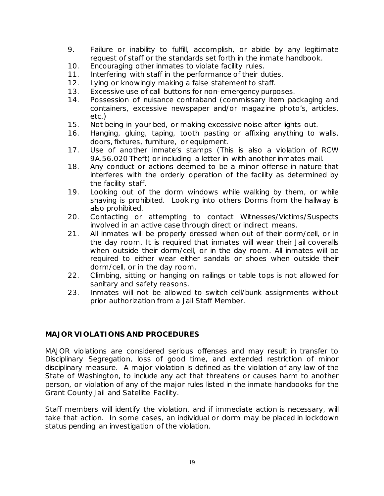- 9. Failure or inability to fulfill, accomplish, or abide by any legitimate request of staff or the standards set forth in the inmate handbook.
- 10. Encouraging other inmates to violate facility rules.
- 11. Interfering with staff in the performance of their duties.
- 12. Lying or knowingly making a false statement to staff.
- 13. Excessive use of call buttons for non-emergency purposes.
- 14. Possession of nuisance contraband (commissary item packaging and containers, excessive newspaper and/or magazine photo's, articles, etc.)
- 15. Not being in your bed, or making excessive noise after lights out.
- 16. Hanging, gluing, taping, tooth pasting or affixing anything to walls, doors, fixtures, furniture, or equipment.
- 17. Use of another inmate's stamps (This is also a violation of RCW 9A.56.020 Theft) or including a letter in with another inmates mail.
- 18. Any conduct or actions deemed to be a minor offense in nature that interferes with the orderly operation of the facility as determined by the facility staff.
- 19. Looking out of the dorm windows while walking by them, or while shaving is prohibited. Looking into others Dorms from the hallway is also prohibited.
- 20. Contacting or attempting to contact Witnesses/Victims/Suspects involved in an active case through direct or indirect means.
- 21. All inmates will be properly dressed when out of their dorm/cell, or in the day room. It is required that inmates will wear their Jail coveralls when outside their dorm/cell, or in the day room. All inmates will be required to either wear either sandals or shoes when outside their dorm/cell, or in the day room.
- 22. Climbing, sitting or hanging on railings or table tops is not allowed for sanitary and safety reasons.
- 23. Inmates will not be allowed to switch cell/bunk assignments without prior authorization from a Jail Staff Member.

# **MAJOR VIOLATIONS AND PROCEDURES**

MAJOR violations are considered serious offenses and may result in transfer to Disciplinary Segregation, loss of good time, and extended restriction of minor disciplinary measure. A major violation is defined as the violation of any law of the State of Washington, to include any act that threatens or causes harm to another person, or violation of any of the major rules listed in the inmate handbooks for the Grant County Jail and Satellite Facility.

Staff members will identify the violation, and if immediate action is necessary, will take that action. In some cases, an individual or dorm may be placed in lockdown status pending an investigation of the violation.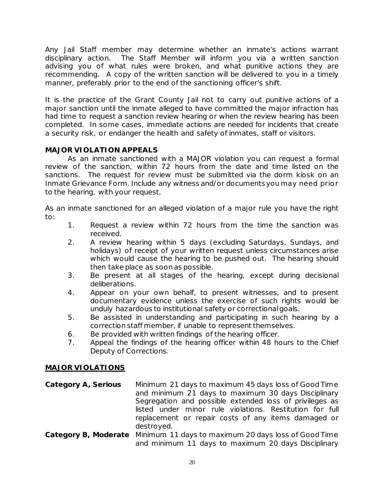Any Jail Staff member may determine whether an inmate's actions warrant disciplinary action. The Staff Member will inform you via a written sanction advising you of what rules were broken, and what punitive actions they are recommending. A copy of the written sanction will be delivered to you in a timely manner, preferably prior to the end of the sanctioning officer's shift.

It is the practice of the Grant County Jail not to carry out punitive actions of a major sanction until the inmate alleged to have committed the major infraction has had time to request a sanction review hearing or when the review hearing has been completed. In some cases, immediate actions are needed for incidents that create a security risk, or endanger the health and safety of inmates, staff or visitors.

# **MAJOR VIOLATION APPEALS**

As an inmate sanctioned with a MAJOR violation you can request a formal review of the sanction, within 72 hours from the date and time listed on the sanctions. The request for review must be submitted via the dorm kiosk on an Inmate Grievance Form. Include any witness and/or documents you may need prior to the hearing, with your request.

As an inmate sanctioned for an alleged violation of a major rule you have the right to:

- 1. Request a review within 72 hours from the time the sanction was received.
- 2. A review hearing within 5 days (excluding Saturdays, Sundays, and holidays) of receipt of your written request unless circumstances arise which would cause the hearing to be pushed out. The hearing should then take place as soon as possible.
- 3. Be present at all stages of the hearing, except during decisional deliberations.
- 4. Appear on your own behalf, to present witnesses, and to present documentary evidence unless the exercise of such rights would be unduly hazardous to institutional safety or correctional goals.
- 5. Be assisted in understanding and participating in such hearing by a correction staff member, if unable to represent themselves.
- 6. Be provided with written findings of the hearing officer.
- 7. Appeal the findings of the hearing officer within 48 hours to the Chief Deputy of Corrections.

# **MAJOR VIOLATIONS**

- **Category A, Serious** Minimum 21 days to maximum 45 days loss of Good Time and minimum 21 days to maximum 30 days Disciplinary Segregation and possible extended loss of privileges as listed under minor rule violations. Restitution for full replacement or repair costs of any items damaged or destroyed.
- **Category B, Moderate** Minimum 11 days to maximum 20 days loss of Good Time and minimum 11 days to maximum 20 days Disciplinary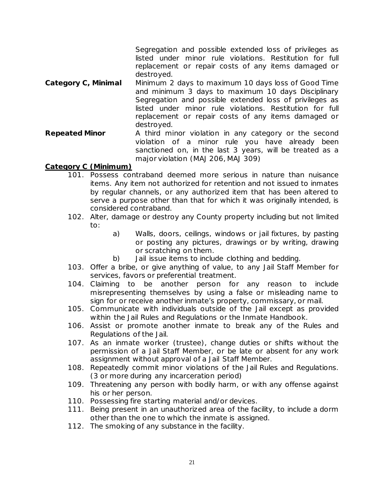Segregation and possible extended loss of privileges as listed under minor rule violations. Restitution for full replacement or repair costs of any items damaged or destroyed.

- **Category C, Minimal** Minimum 2 days to maximum 10 days loss of Good Time and minimum 3 days to maximum 10 days Disciplinary Segregation and possible extended loss of privileges as listed under minor rule violations. Restitution for full replacement or repair costs of any items damaged or destroyed.
- **Repeated Minor** A third *minor* violation in any category or the second violation of a *minor* rule you have already been sanctioned on, in the last 3 years, will be treated as a major violation (MAJ 206, MAJ 309)

#### **Category C (Minimum)**

- 101. Possess contraband deemed more serious in nature than nuisance items. Any item not authorized for retention and not issued to inmates by regular channels, or any authorized item that has been altered to serve a purpose other than that for which it was originally intended, is considered contraband.
- 102. Alter, damage or destroy any County property including but not limited to:
	- a) Walls, doors, ceilings, windows or jail fixtures, by pasting or posting any pictures, drawings or by writing, drawing or scratching on them.
	- b) Jail issue items to include clothing and bedding.
- 103. Offer a bribe, or give anything of value, to any Jail Staff Member for services, favors or preferential treatment.
- 104. Claiming to be another person for any reason to include misrepresenting themselves by using a false or misleading name to sign for or receive another inmate's property, commissary, or mail.
- 105. Communicate with individuals outside of the Jail except as provided within the Jail Rules and Regulations or the Inmate Handbook.
- 106. Assist or promote another inmate to break any of the Rules and Regulations of the Jail.
- 107. As an inmate worker (trustee), change duties or shifts without the permission of a Jail Staff Member, or be late or absent for any work assignment without approval of a Jail Staff Member.
- 108. Repeatedly commit minor violations of the Jail Rules and Regulations. (3 or more during any incarceration period)
- 109. Threatening any person with bodily harm, or with any offense against his or her person.
- 110. Possessing fire starting material and/or devices.
- 111. Being present in an unauthorized area of the facility, to include a dorm other than the one to which the inmate is assigned.
- 112. The smoking of any substance in the facility.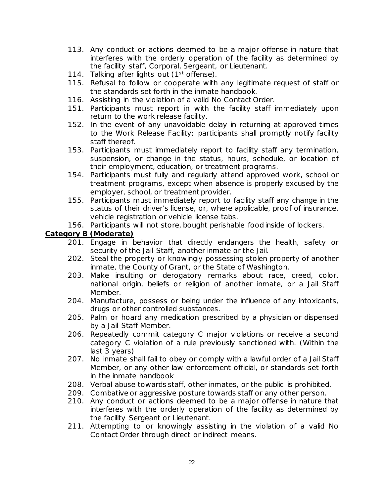- 113. Any conduct or actions deemed to be a major offense in nature that interferes with the orderly operation of the facility as determined by the facility staff, Corporal, Sergeant, or Lieutenant.
- 114. Talking after lights out (1<sup>st</sup> offense).
- 115. Refusal to follow or cooperate with any legitimate request of staff or the standards set forth in the inmate handbook.
- 116. Assisting in the violation of a valid No Contact Order.
- 151. Participants must report in with the facility staff immediately upon return to the work release facility.
- 152. In the event of any unavoidable delay in returning at approved times to the Work Release Facility; participants shall promptly notify facility staff thereof.
- 153. Participants must immediately report to facility staff any termination, suspension, or change in the status, hours, schedule, or location of their employment, education, or treatment programs.
- 154. Participants must fully and regularly attend approved work, school or treatment programs, except when absence is properly excused by the employer, school, or treatment provider.
- 155. Participants must immediately report to facility staff any change in the status of their driver's license, or, where applicable, proof of insurance, vehicle registration or vehicle license tabs.
- 156. Participants will not store, bought perishable food inside of lockers.

# **Category B (Moderate)**

- 201. Engage in behavior that directly endangers the health, safety or security of the Jail Staff, another inmate or the Jail.
- 202. Steal the property or knowingly possessing stolen property of another inmate, the County of Grant, or the State of Washington.
- 203. Make insulting or derogatory remarks about race, creed, color, national origin, beliefs or religion of another inmate, or a Jail Staff Member.
- 204. Manufacture, possess or being under the influence of any intoxicants, drugs or other controlled substances.
- 205. Palm or hoard any medication prescribed by a physician or dispensed by a Jail Staff Member.
- 206. Repeatedly commit category C major violations or receive a second category C violation of a rule previously sanctioned with. (Within the last 3 years)
- 207. No inmate shall fail to obey or comply with a lawful order of a Jail Staff Member, or any other law enforcement official, or standards set forth in the inmate handbook
- 208. Verbal abuse towards staff, other inmates, or the public is prohibited.
- 209. Combative or aggressive posture towards staff or any other person.
- 210. Any conduct or actions deemed to be a major offense in nature that interferes with the orderly operation of the facility as determined by the facility Sergeant or Lieutenant.
- 211. Attempting to or knowingly assisting in the violation of a valid No Contact Order through direct or indirect means.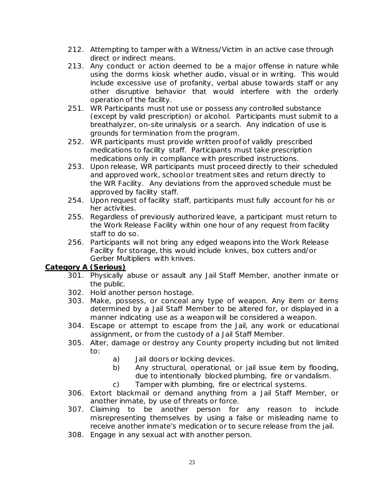- 212. Attempting to tamper with a Witness/Victim in an active case through direct or indirect means.
- 213. Any conduct or action deemed to be a major offense in nature while using the dorms kiosk whether audio, visual or in writing. This would include excessive use of profanity, verbal abuse towards staff or any other disruptive behavior that would interfere with the orderly operation of the facility.
- 251. WR Participants must not use or possess any controlled substance (except by valid prescription) or alcohol. Participants must submit to a breathalyzer, on-site urinalysis or a search. Any indication of use is grounds for termination from the program.
- 252. WR participants must provide written proof of validly prescribed medications to facility staff. Participants must take prescription medications only in compliance with prescribed instructions.
- 253. Upon release, WR participants must proceed directly to their scheduled and approved work, school or treatment sites and return directly to the WR Facility. Any deviations from the approved schedule must be approved by facility staff.
- 254. Upon request of facility staff, participants must fully account for his or her activities.
- 255. Regardless of previously authorized leave, a participant must return to the Work Release Facility within one hour of any request from facility staff to do so.
- 256. Participants will not bring any edged weapons into the Work Release Facility for storage, this would include knives, box cutters and/or Gerber Multipliers with knives.

# **Category A (Serious)**

- 301. Physically abuse or assault any Jail Staff Member, another inmate or the public.
- 302. Hold another person hostage.
- 303. Make, possess, or conceal any type of weapon. Any item or items determined by a Jail Staff Member to be altered for, or displayed in a manner indicating use as a weapon will be considered a weapon.
- 304. Escape or attempt to escape from the Jail, any work or educational assignment, or from the custody of a Jail Staff Member.
- 305. Alter, damage or destroy any County property including but not limited to:
	- a) Jail doors or locking devices.
	- b) Any structural, operational, or jail issue item by flooding, due to intentionally blocked plumbing, fire or vandalism.
	- c) Tamper with plumbing, fire or electrical systems.
- 306. Extort blackmail or demand anything from a Jail Staff Member, or another inmate, by use of threats or force.
- 307. Claiming to be another person for any reason to include misrepresenting themselves by using a false or misleading name to receive another inmate's medication or to secure release from the jail.
- 308. Engage in any sexual act with another person.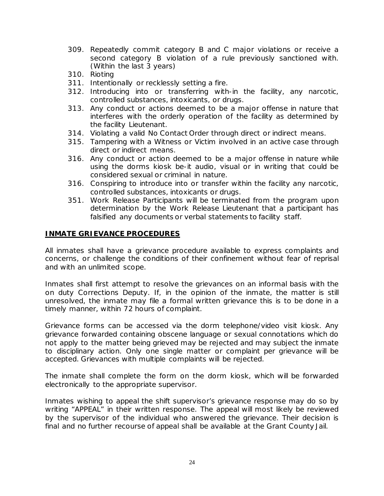- 309. Repeatedly commit category B and C major violations or receive a second category B violation of a rule previously sanctioned with. (Within the last 3 years)
- 310. Rioting
- 311. Intentionally or recklessly setting a fire.
- 312. Introducing into or transferring with-in the facility, any narcotic, controlled substances, intoxicants, or drugs.
- 313. Any conduct or actions deemed to be a major offense in nature that interferes with the orderly operation of the facility as determined by the facility Lieutenant.
- 314. Violating a valid No Contact Order through direct or indirect means.
- 315. Tampering with a Witness or Victim involved in an active case through direct or indirect means.
- 316. Any conduct or action deemed to be a major offense in nature while using the dorms kiosk be-it audio, visual or in writing that could be considered sexual or criminal in nature.
- 316. Conspiring to introduce into or transfer within the facility any narcotic, controlled substances, intoxicants or drugs.
- 351. Work Release Participants will be terminated from the program upon determination by the Work Release Lieutenant that a participant has falsified any documents or verbal statements to facility staff.

#### **INMATE GRIEVANCE PROCEDURES**

All inmates shall have a grievance procedure available to express complaints and concerns, or challenge the conditions of their confinement without fear of reprisal and with an unlimited scope.

Inmates shall first attempt to resolve the grievances on an informal basis with the on duty Corrections Deputy. If, in the opinion of the inmate, the matter is still unresolved, the inmate may file a formal written grievance this is to be done in a timely manner, within 72 hours of complaint.

Grievance forms can be accessed via the dorm telephone/video visit kiosk. Any grievance forwarded containing obscene language or sexual connotations which do not apply to the matter being grieved may be rejected and may subject the inmate to disciplinary action. Only one single matter or complaint per grievance will be accepted. Grievances with multiple complaints will be rejected.

The inmate shall complete the form on the dorm kiosk, which will be forwarded electronically to the appropriate supervisor.

Inmates wishing to appeal the shift supervisor's grievance response may do so by writing "APPEAL" in their written response. The appeal will most likely be reviewed by the supervisor of the individual who answered the grievance. Their decision is final and no further recourse of appeal shall be available at the Grant County Jail.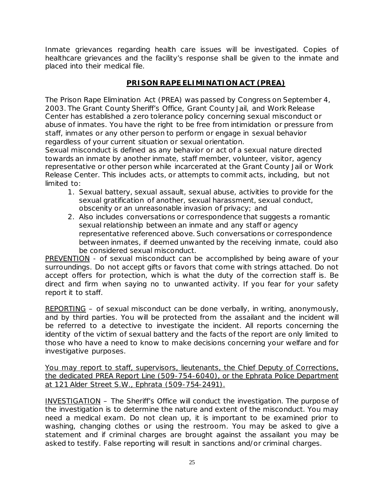Inmate grievances regarding health care issues will be investigated. Copies of healthcare grievances and the facility's response shall be given to the inmate and placed into their medical file.

# **PRISON RAPE ELIMINATION ACT (PREA)**

The Prison Rape Elimination Act (PREA) was passed by Congress on September 4, 2003. The Grant County Sheriff's Office, Grant County Jail, and Work Release Center has established a zero tolerance policy concerning sexual misconduct or abuse of inmates. You have the right to be free from intimidation or pressure from staff, inmates or any other person to perform or engage in sexual behavior regardless of your current situation or sexual orientation.

Sexual misconduct is defined as any behavior or act of a sexual nature directed towards an inmate by another inmate, staff member, volunteer, visitor, agency representative or other person while incarcerated at the Grant County Jail or Work Release Center. This includes acts, or attempts to commit acts, including, but not limited to:

- 1. Sexual battery, sexual assault, sexual abuse, activities to provide for the sexual gratification of another, sexual harassment, sexual conduct, obscenity or an unreasonable invasion of privacy; and
- 2. Also includes conversations or correspondence that suggests a romantic sexual relationship between an inmate and any staff or agency representative referenced above. Such conversations or correspondence between inmates, if deemed unwanted by the receiving inmate, could also be considered sexual misconduct.

PREVENTION - of sexual misconduct can be accomplished by being aware of your surroundings. Do not accept gifts or favors that come with strings attached. Do not accept offers for protection, which is what the duty of the correction staff is. Be direct and firm when saying no to unwanted activity. If you fear for your safety report it to staff.

REPORTING – of sexual misconduct can be done verbally, in writing, anonymously, and by third parties. You will be protected from the assailant and the incident will be referred to a detective to investigate the incident. All reports concerning the identity of the victim of sexual battery and the facts of the report are only limited to those who have a need to know to make decisions concerning your welfare and for investigative purposes.

You may report to staff, supervisors, lieutenants, the Chief Deputy of Corrections, the dedicated PREA Report Line (509-754-6040), *or* the Ephrata Police Department at 121 Alder Street S.W., Ephrata (509-754-2491).

INVESTIGATION – The Sheriff's Office will conduct the investigation. The purpose of the investigation is to determine the nature and extent of the misconduct. You may need a medical exam. Do not clean up, it is important to be examined prior to washing, changing clothes or using the restroom. You may be asked to give a statement and if criminal charges are brought against the assailant you may be asked to testify. False reporting will result in sanctions and/or criminal charges.